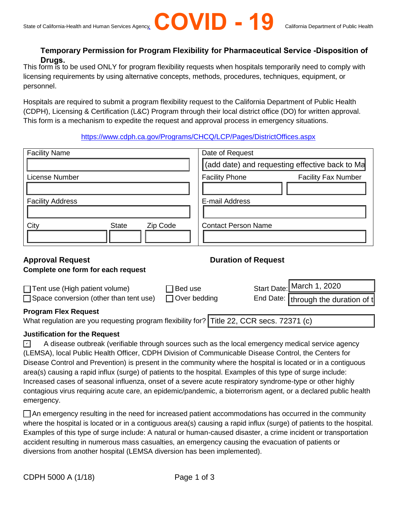

## **Temporary Permission for Program Flexibility for Pharmaceutical Service -Disposition of Drugs.**

This form is to be used ONLY for program flexibility requests when hospitals temporarily need to comply with licensing requirements by using alternative concepts, methods, procedures, techniques, equipment, or personnel.

Hospitals are required to submit a program flexibility request to the California Department of Public Health (CDPH), Licensing & Certification (L&C) Program through their local district office (DO) for written approval. This form is a mechanism to expedite the request and approval process in emergency situations.

### <https://www.cdph.ca.gov/Programs/CHCQ/LCP/Pages/DistrictOffices.aspx>

| <b>Facility Name</b>                                                                              | Date of Request<br>(add date) and requesting effective back to Ma |             |                                                        |
|---------------------------------------------------------------------------------------------------|-------------------------------------------------------------------|-------------|--------------------------------------------------------|
|                                                                                                   |                                                                   |             |                                                        |
| License Number                                                                                    | <b>Facility Phone</b>                                             |             | <b>Facility Fax Number</b>                             |
| <b>Facility Address</b>                                                                           | E-mail Address                                                    |             |                                                        |
| City<br><b>State</b><br>Zip Code                                                                  | <b>Contact Person Name</b>                                        |             |                                                        |
| <b>Approval Request</b>                                                                           | <b>Duration of Request</b>                                        |             |                                                        |
| Complete one form for each request                                                                |                                                                   |             |                                                        |
| Bed use<br>$\Box$ Tent use (High patient volume)<br>$\Box$ Space conversion (other than tent use) | Over bedding                                                      | Start Date: | March 1, 2020<br>End Date:   through the duration of t |

# **Approval Request**

### **Complete one form for each request**

| $\Box$ Tent use (High patient volume)                                                     | $\Box$ Bed use      | Start Date: March 1, 2020           |
|-------------------------------------------------------------------------------------------|---------------------|-------------------------------------|
| $\Box$ Space conversion (other than tent use)                                             | $\Box$ Over bedding | End Date: through the duration of t |
| <b>Program Flex Request</b>                                                               |                     |                                     |
| What regulation are you requesting program flexibility for? Title 22, CCR secs. 72371 (c) |                     |                                     |

### **Justification for the Request**

A disease outbreak (verifiable through sources such as the local emergency medical service agency (LEMSA), local Public Health Officer, CDPH Division of Communicable Disease Control, the Centers for Disease Control and Prevention) is present in the community where the hospital is located or in a contiguous area(s) causing a rapid influx (surge) of patients to the hospital. Examples of this type of surge include: Increased cases of seasonal influenza, onset of a severe acute respiratory syndrome-type or other highly contagious virus requiring acute care, an epidemic/pandemic, a bioterrorism agent, or a declared public health emergency. ✔

An emergency resulting in the need for increased patient accommodations has occurred in the community where the hospital is located or in a contiguous area(s) causing a rapid influx (surge) of patients to the hospital. Examples of this type of surge include: A natural or human-caused disaster, a crime incident or transportation accident resulting in numerous mass casualties, an emergency causing the evacuation of patients or diversions from another hospital (LEMSA diversion has been implemented).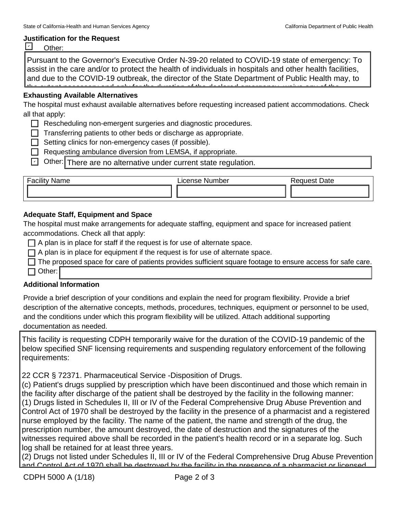#### **Justification for the Request**

| ther: |  |
|-------|--|
|-------|--|

Pursuant to the Governor's Executive Order N-39-20 related to COVID-19 state of emergency: To assist in the care and/or to protect the health of individuals in hospitals and other health facilities, and due to the COVID-19 outbreak, the director of the State Department of Public Health may, to the extent necessary and only for the duration of the declared emergency, waive any of the

# **Exhausting Available Alternatives and 2.4 of the Health and 2.4 of the Health and 2.4 of the Health and Safety**

The hospital must exhaust available alternatives before requesting increased patient accommodations. Check all that apply: **Alta section 1250.** 

- Rescheduling non-emergent surgeries and diagnostic procedures.
- $\Box$  Transferring patients to other beds or discharge as appropriate.
- $\Box$  Setting clinics for non-emergency cases (if possible).
- □ Requesting ambulance diversion from LEMSA, if appropriate.
	- ◯ Other: There are no alternative under current state regulation.

| $\overline{\phantom{0}}$<br>.<br>$L$ $\sim$ $\sim$<br>Name<br>'acilit' | License<br>Number | Date<br>auest |
|------------------------------------------------------------------------|-------------------|---------------|
|                                                                        |                   |               |

### **Adequate Staff, Equipment and Space**

The hospital must make arrangements for adequate staffing, equipment and space for increased patient accommodations. Check all that apply:

- $\Box$  A plan is in place for staff if the request is for use of alternate space.
- $\Box$  A plan is in place for equipment if the request is for use of alternate space.
- $\Box$  The proposed space for care of patients provides sufficient square footage to ensure access for safe care.
- $\Box$  Other:

### **Additional Information**

Provide a brief description of your conditions and explain the need for program flexibility. Provide a brief description of the alternative concepts, methods, procedures, techniques, equipment or personnel to be used, and the conditions under which this program flexibility will be utilized. Attach additional supporting documentation as needed.

This facility is requesting CDPH temporarily waive for the duration of the COVID-19 pandemic of the below specified SNF licensing requirements and suspending regulatory enforcement of the following requirements:

22 CCR § 72371. Pharmaceutical Service -Disposition of Drugs.

 witnesses required above shall be recorded in the patient's health record or in a separate log. Such (c) Patient's drugs supplied by prescription which have been discontinued and those which remain in the facility after discharge of the patient shall be destroyed by the facility in the following manner: (1) Drugs listed in Schedules II, III or IV of the Federal Comprehensive Drug Abuse Prevention and Control Act of 1970 shall be destroyed by the facility in the presence of a pharmacist and a registered nurse employed by the facility. The name of the patient, the name and strength of the drug, the prescription number, the amount destroyed, the date of destruction and the signatures of the log shall be retained for at least three years.

(2) Drugs not listed under Schedules II, III or IV of the Federal Comprehensive Drug Abuse Prevention and Control Act of 1970 shall be destroyed by the facility in the presence of a pharmacist or licensed